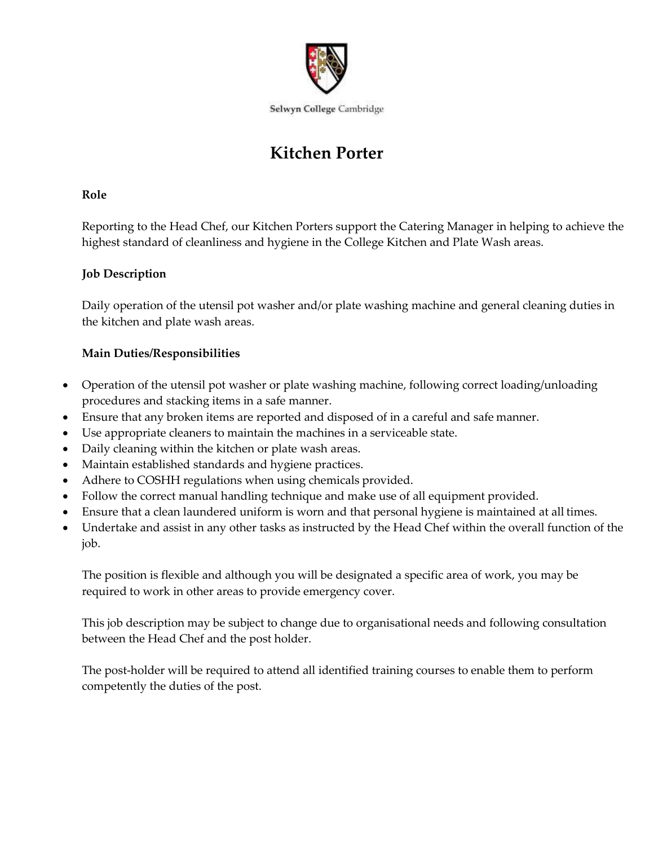

# **Kitchen Porter**

#### **Role**

Reporting to the Head Chef, our Kitchen Porters support the Catering Manager in helping to achieve the highest standard of cleanliness and hygiene in the College Kitchen and Plate Wash areas.

## **Job Description**

Daily operation of the utensil pot washer and/or plate washing machine and general cleaning duties in the kitchen and plate wash areas.

## **Main Duties/Responsibilities**

- Operation of the utensil pot washer or plate washing machine, following correct loading/unloading procedures and stacking items in a safe manner.
- Ensure that any broken items are reported and disposed of in a careful and safe manner.
- Use appropriate cleaners to maintain the machines in a serviceable state.
- Daily cleaning within the kitchen or plate wash areas.
- Maintain established standards and hygiene practices.
- Adhere to COSHH regulations when using chemicals provided.
- Follow the correct manual handling technique and make use of all equipment provided.
- Ensure that a clean laundered uniform is worn and that personal hygiene is maintained at all times.
- Undertake and assist in any other tasks as instructed by the Head Chef within the overall function of the job.

The position is flexible and although you will be designated a specific area of work, you may be required to work in other areas to provide emergency cover.

This job description may be subject to change due to organisational needs and following consultation between the Head Chef and the post holder.

The post-holder will be required to attend all identified training courses to enable them to perform competently the duties of the post.